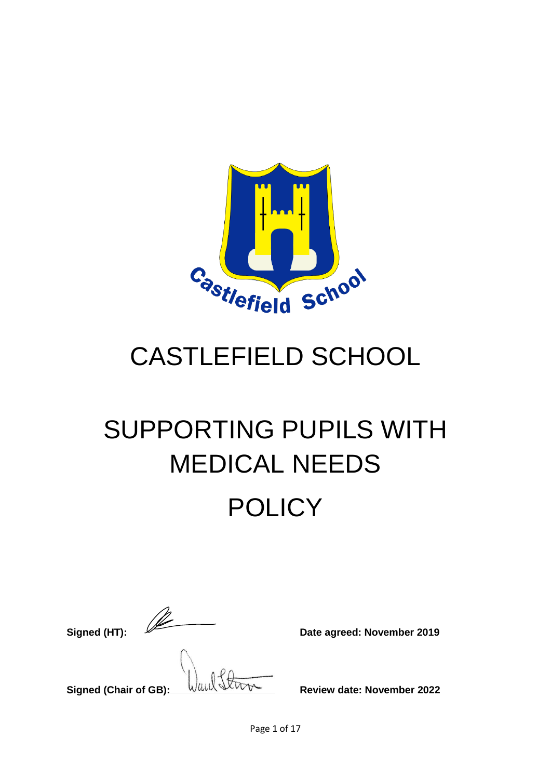

# CASTLEFIELD SCHOOL

# SUPPORTING PUPILS WITH MEDICAL NEEDS **POLICY**

**Signed (HT): Date agreed: November 2019** 

**Signed (Chair of GB):** WILL SUPPERTY Review date: November 2022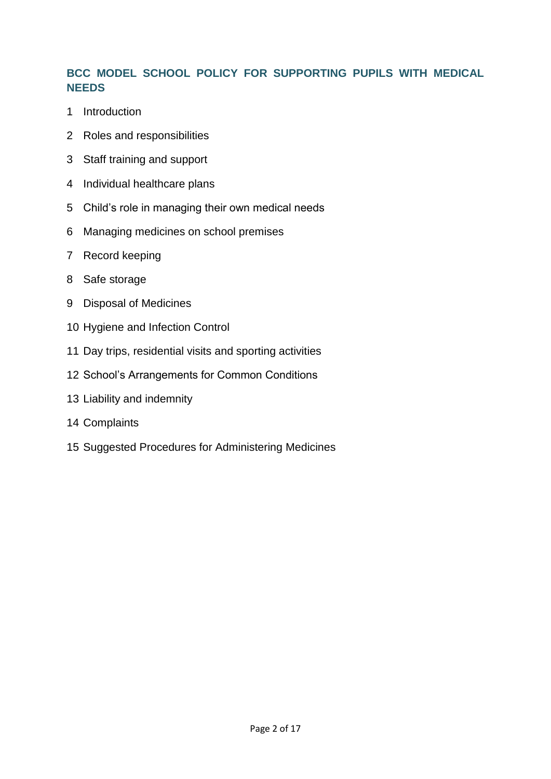# **BCC MODEL SCHOOL POLICY FOR SUPPORTING PUPILS WITH MEDICAL NEEDS**

- Introduction
- Roles and responsibilities
- Staff training and support
- Individual healthcare plans
- Child's role in managing their own medical needs
- Managing medicines on school premises
- Record keeping
- Safe storage
- Disposal of Medicines
- Hygiene and Infection Control
- Day trips, residential visits and sporting activities
- School's Arrangements for Common Conditions
- Liability and indemnity
- Complaints
- Suggested Procedures for Administering Medicines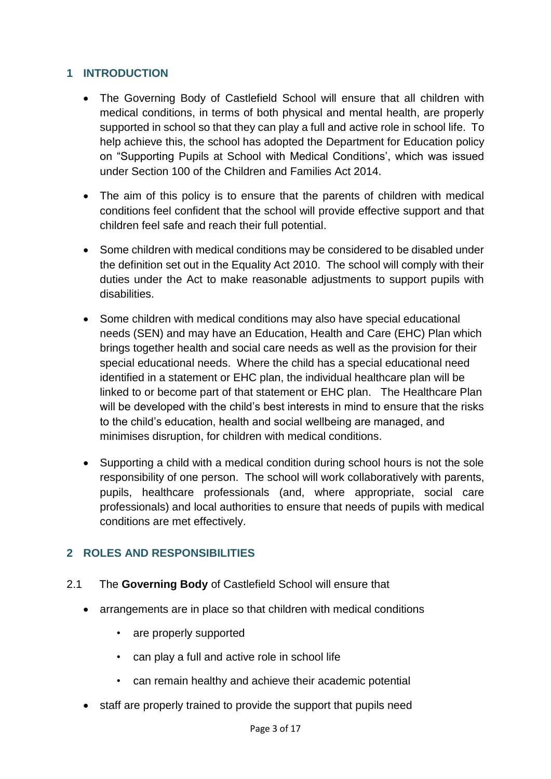# **1 INTRODUCTION**

- The Governing Body of Castlefield School will ensure that all children with medical conditions, in terms of both physical and mental health, are properly supported in school so that they can play a full and active role in school life. To help achieve this, the school has adopted the Department for Education policy on "Supporting Pupils at School with Medical Conditions', which was issued under Section 100 of the Children and Families Act 2014.
- The aim of this policy is to ensure that the parents of children with medical conditions feel confident that the school will provide effective support and that children feel safe and reach their full potential.
- Some children with medical conditions may be considered to be disabled under the definition set out in the Equality Act 2010. The school will comply with their duties under the Act to make reasonable adjustments to support pupils with disabilities.
- Some children with medical conditions may also have special educational needs (SEN) and may have an Education, Health and Care (EHC) Plan which brings together health and social care needs as well as the provision for their special educational needs. Where the child has a special educational need identified in a statement or EHC plan, the individual healthcare plan will be linked to or become part of that statement or EHC plan. The Healthcare Plan will be developed with the child's best interests in mind to ensure that the risks to the child's education, health and social wellbeing are managed, and minimises disruption, for children with medical conditions.
- Supporting a child with a medical condition during school hours is not the sole responsibility of one person. The school will work collaboratively with parents, pupils, healthcare professionals (and, where appropriate, social care professionals) and local authorities to ensure that needs of pupils with medical conditions are met effectively.

# **2 ROLES AND RESPONSIBILITIES**

- 2.1 The **Governing Body** of Castlefield School will ensure that
	- arrangements are in place so that children with medical conditions
		- are properly supported
		- can play a full and active role in school life
		- can remain healthy and achieve their academic potential
	- staff are properly trained to provide the support that pupils need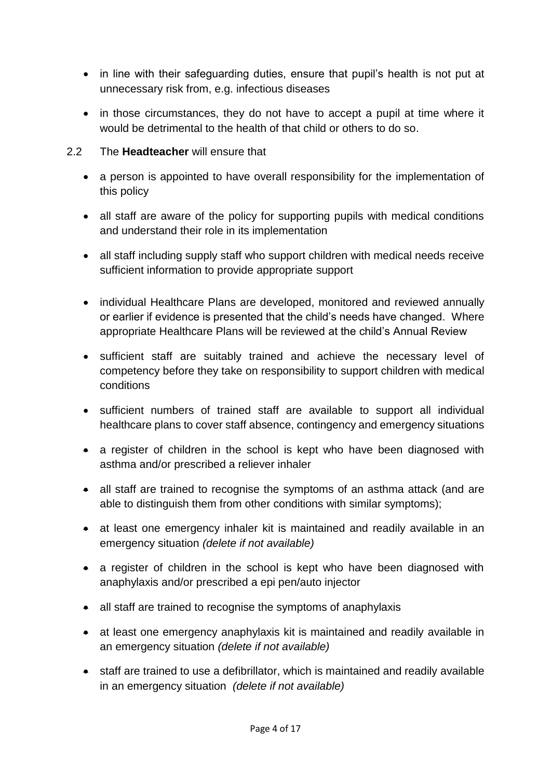- in line with their safeguarding duties, ensure that pupil's health is not put at unnecessary risk from, e.g. infectious diseases
- in those circumstances, they do not have to accept a pupil at time where it would be detrimental to the health of that child or others to do so.
- 2.2 The **Headteacher** will ensure that
	- a person is appointed to have overall responsibility for the implementation of this policy
	- all staff are aware of the policy for supporting pupils with medical conditions and understand their role in its implementation
	- all staff including supply staff who support children with medical needs receive sufficient information to provide appropriate support
	- individual Healthcare Plans are developed, monitored and reviewed annually or earlier if evidence is presented that the child's needs have changed. Where appropriate Healthcare Plans will be reviewed at the child's Annual Review
	- sufficient staff are suitably trained and achieve the necessary level of competency before they take on responsibility to support children with medical conditions
	- sufficient numbers of trained staff are available to support all individual healthcare plans to cover staff absence, contingency and emergency situations
	- a register of children in the school is kept who have been diagnosed with asthma and/or prescribed a reliever inhaler
	- all staff are trained to recognise the symptoms of an asthma attack (and are able to distinguish them from other conditions with similar symptoms);
	- at least one emergency inhaler kit is maintained and readily available in an emergency situation *(delete if not available)*
	- a register of children in the school is kept who have been diagnosed with anaphylaxis and/or prescribed a epi pen/auto injector
	- all staff are trained to recognise the symptoms of anaphylaxis
	- at least one emergency anaphylaxis kit is maintained and readily available in an emergency situation *(delete if not available)*
	- staff are trained to use a defibrillator, which is maintained and readily available in an emergency situation *(delete if not available)*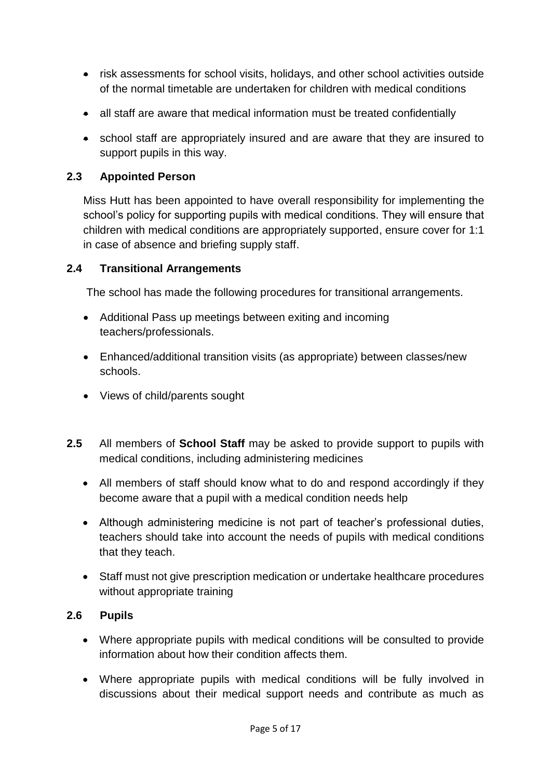- risk assessments for school visits, holidays, and other school activities outside of the normal timetable are undertaken for children with medical conditions
- all staff are aware that medical information must be treated confidentially
- school staff are appropriately insured and are aware that they are insured to support pupils in this way.

#### **2.3 Appointed Person**

Miss Hutt has been appointed to have overall responsibility for implementing the school's policy for supporting pupils with medical conditions. They will ensure that children with medical conditions are appropriately supported, ensure cover for 1:1 in case of absence and briefing supply staff.

#### **2.4 Transitional Arrangements**

The school has made the following procedures for transitional arrangements.

- Additional Pass up meetings between exiting and incoming teachers/professionals.
- Enhanced/additional transition visits (as appropriate) between classes/new schools.
- Views of child/parents sought
- **2.5** All members of **School Staff** may be asked to provide support to pupils with medical conditions, including administering medicines
	- All members of staff should know what to do and respond accordingly if they become aware that a pupil with a medical condition needs help
	- Although administering medicine is not part of teacher's professional duties, teachers should take into account the needs of pupils with medical conditions that they teach.
	- Staff must not give prescription medication or undertake healthcare procedures without appropriate training

#### **2.6 Pupils**

- Where appropriate pupils with medical conditions will be consulted to provide information about how their condition affects them.
- Where appropriate pupils with medical conditions will be fully involved in discussions about their medical support needs and contribute as much as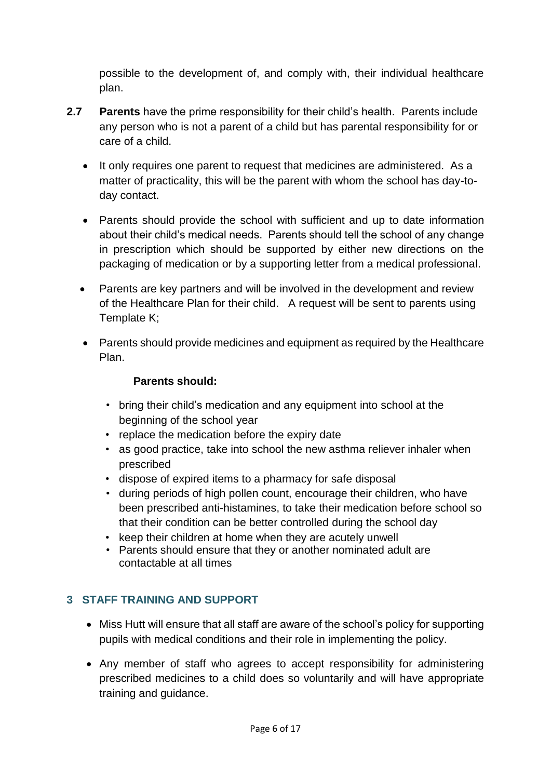possible to the development of, and comply with, their individual healthcare plan.

- **2.7 Parents** have the prime responsibility for their child's health. Parents include any person who is not a parent of a child but has parental responsibility for or care of a child.
	- It only requires one parent to request that medicines are administered. As a matter of practicality, this will be the parent with whom the school has day-today contact.
	- Parents should provide the school with sufficient and up to date information about their child's medical needs. Parents should tell the school of any change in prescription which should be supported by either new directions on the packaging of medication or by a supporting letter from a medical professional.
	- Parents are key partners and will be involved in the development and review of the Healthcare Plan for their child. A request will be sent to parents using Template K;
	- Parents should provide medicines and equipment as required by the Healthcare Plan.

# **Parents should:**

- bring their child's medication and any equipment into school at the beginning of the school year
- replace the medication before the expiry date
- as good practice, take into school the new asthma reliever inhaler when prescribed
- dispose of expired items to a pharmacy for safe disposal
- during periods of high pollen count, encourage their children, who have been prescribed anti-histamines, to take their medication before school so that their condition can be better controlled during the school day
- keep their children at home when they are acutely unwell
- Parents should ensure that they or another nominated adult are contactable at all times

# **3 STAFF TRAINING AND SUPPORT**

- Miss Hutt will ensure that all staff are aware of the school's policy for supporting pupils with medical conditions and their role in implementing the policy.
- Any member of staff who agrees to accept responsibility for administering prescribed medicines to a child does so voluntarily and will have appropriate training and guidance.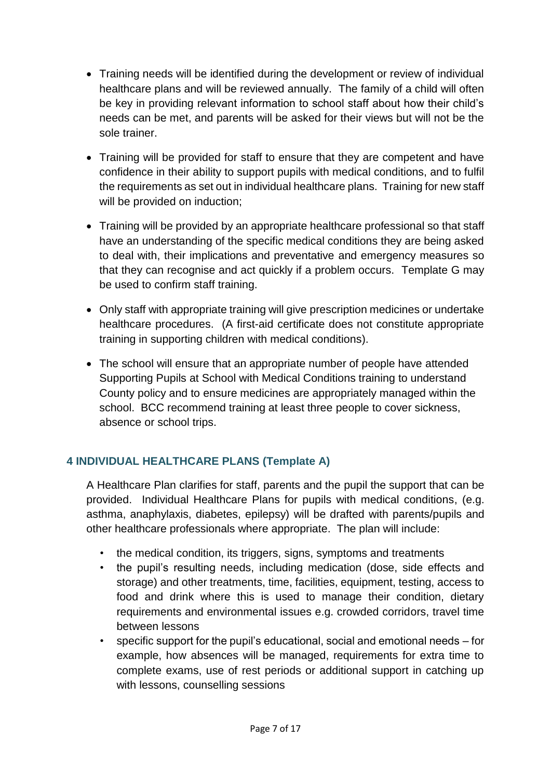- Training needs will be identified during the development or review of individual healthcare plans and will be reviewed annually. The family of a child will often be key in providing relevant information to school staff about how their child's needs can be met, and parents will be asked for their views but will not be the sole trainer.
- Training will be provided for staff to ensure that they are competent and have confidence in their ability to support pupils with medical conditions, and to fulfil the requirements as set out in individual healthcare plans. Training for new staff will be provided on induction;
- Training will be provided by an appropriate healthcare professional so that staff have an understanding of the specific medical conditions they are being asked to deal with, their implications and preventative and emergency measures so that they can recognise and act quickly if a problem occurs. Template G may be used to confirm staff training.
- Only staff with appropriate training will give prescription medicines or undertake healthcare procedures. (A first-aid certificate does not constitute appropriate training in supporting children with medical conditions).
- The school will ensure that an appropriate number of people have attended Supporting Pupils at School with Medical Conditions training to understand County policy and to ensure medicines are appropriately managed within the school. BCC recommend training at least three people to cover sickness, absence or school trips.

# **4 INDIVIDUAL HEALTHCARE PLANS (Template A)**

A Healthcare Plan clarifies for staff, parents and the pupil the support that can be provided. Individual Healthcare Plans for pupils with medical conditions, (e.g. asthma, anaphylaxis, diabetes, epilepsy) will be drafted with parents/pupils and other healthcare professionals where appropriate. The plan will include:

- the medical condition, its triggers, signs, symptoms and treatments
- the pupil's resulting needs, including medication (dose, side effects and storage) and other treatments, time, facilities, equipment, testing, access to food and drink where this is used to manage their condition, dietary requirements and environmental issues e.g. crowded corridors, travel time between lessons
- specific support for the pupil's educational, social and emotional needs for example, how absences will be managed, requirements for extra time to complete exams, use of rest periods or additional support in catching up with lessons, counselling sessions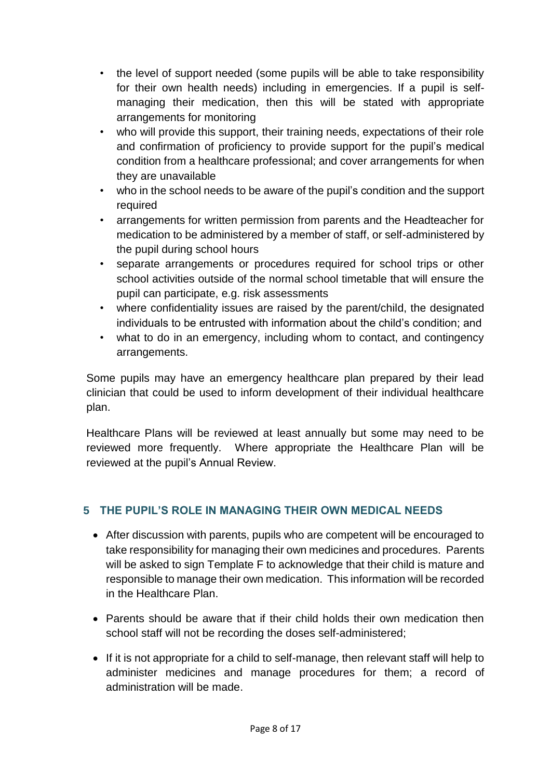- the level of support needed (some pupils will be able to take responsibility for their own health needs) including in emergencies. If a pupil is selfmanaging their medication, then this will be stated with appropriate arrangements for monitoring
- who will provide this support, their training needs, expectations of their role and confirmation of proficiency to provide support for the pupil's medical condition from a healthcare professional; and cover arrangements for when they are unavailable
- who in the school needs to be aware of the pupil's condition and the support required
- arrangements for written permission from parents and the Headteacher for medication to be administered by a member of staff, or self-administered by the pupil during school hours
- separate arrangements or procedures required for school trips or other school activities outside of the normal school timetable that will ensure the pupil can participate, e.g. risk assessments
- where confidentiality issues are raised by the parent/child, the designated individuals to be entrusted with information about the child's condition; and
- what to do in an emergency, including whom to contact, and contingency arrangements.

Some pupils may have an emergency healthcare plan prepared by their lead clinician that could be used to inform development of their individual healthcare plan.

Healthcare Plans will be reviewed at least annually but some may need to be reviewed more frequently. Where appropriate the Healthcare Plan will be reviewed at the pupil's Annual Review.

# **5 THE PUPIL'S ROLE IN MANAGING THEIR OWN MEDICAL NEEDS**

- After discussion with parents, pupils who are competent will be encouraged to take responsibility for managing their own medicines and procedures. Parents will be asked to sign Template F to acknowledge that their child is mature and responsible to manage their own medication. This information will be recorded in the Healthcare Plan.
- Parents should be aware that if their child holds their own medication then school staff will not be recording the doses self-administered;
- If it is not appropriate for a child to self-manage, then relevant staff will help to administer medicines and manage procedures for them; a record of administration will be made.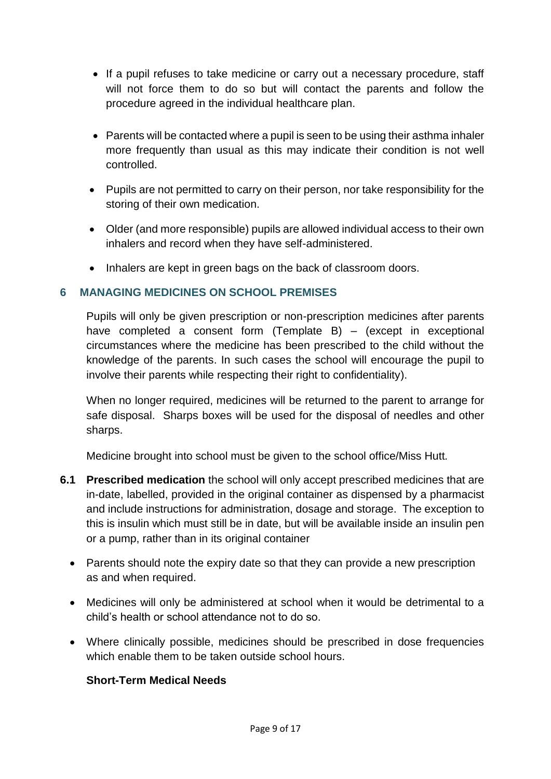- If a pupil refuses to take medicine or carry out a necessary procedure, staff will not force them to do so but will contact the parents and follow the procedure agreed in the individual healthcare plan.
- Parents will be contacted where a pupil is seen to be using their asthma inhaler more frequently than usual as this may indicate their condition is not well controlled.
- Pupils are not permitted to carry on their person, nor take responsibility for the storing of their own medication.
- Older (and more responsible) pupils are allowed individual access to their own inhalers and record when they have self-administered.
- Inhalers are kept in green bags on the back of classroom doors.

#### **6 MANAGING MEDICINES ON SCHOOL PREMISES**

Pupils will only be given prescription or non-prescription medicines after parents have completed a consent form (Template B)  $-$  (except in exceptional circumstances where the medicine has been prescribed to the child without the knowledge of the parents. In such cases the school will encourage the pupil to involve their parents while respecting their right to confidentiality).

When no longer required, medicines will be returned to the parent to arrange for safe disposal. Sharps boxes will be used for the disposal of needles and other sharps.

Medicine brought into school must be given to the school office/Miss Hutt*.*

- **6.1 Prescribed medication** the school will only accept prescribed medicines that are in-date, labelled, provided in the original container as dispensed by a pharmacist and include instructions for administration, dosage and storage. The exception to this is insulin which must still be in date, but will be available inside an insulin pen or a pump, rather than in its original container
	- Parents should note the expiry date so that they can provide a new prescription as and when required.
	- Medicines will only be administered at school when it would be detrimental to a child's health or school attendance not to do so.
	- Where clinically possible, medicines should be prescribed in dose frequencies which enable them to be taken outside school hours.

#### **Short-Term Medical Needs**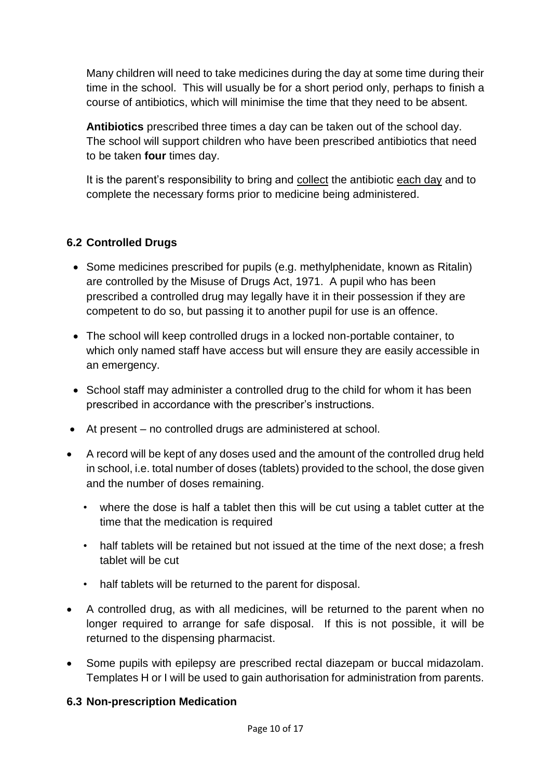Many children will need to take medicines during the day at some time during their time in the school. This will usually be for a short period only, perhaps to finish a course of antibiotics, which will minimise the time that they need to be absent.

**Antibiotics** prescribed three times a day can be taken out of the school day. The school will support children who have been prescribed antibiotics that need to be taken **four** times day.

It is the parent's responsibility to bring and collect the antibiotic each day and to complete the necessary forms prior to medicine being administered.

# **6.2 Controlled Drugs**

- Some medicines prescribed for pupils (e.g. methylphenidate, known as Ritalin) are controlled by the Misuse of Drugs Act, 1971. A pupil who has been prescribed a controlled drug may legally have it in their possession if they are competent to do so, but passing it to another pupil for use is an offence.
- The school will keep controlled drugs in a locked non-portable container, to which only named staff have access but will ensure they are easily accessible in an emergency.
- School staff may administer a controlled drug to the child for whom it has been prescribed in accordance with the prescriber's instructions.
- At present no controlled drugs are administered at school.
- A record will be kept of any doses used and the amount of the controlled drug held in school, i.e. total number of doses (tablets) provided to the school, the dose given and the number of doses remaining.
	- where the dose is half a tablet then this will be cut using a tablet cutter at the time that the medication is required
	- half tablets will be retained but not issued at the time of the next dose; a fresh tablet will be cut
	- half tablets will be returned to the parent for disposal.
- A controlled drug, as with all medicines, will be returned to the parent when no longer required to arrange for safe disposal. If this is not possible, it will be returned to the dispensing pharmacist.
- Some pupils with epilepsy are prescribed rectal diazepam or buccal midazolam. Templates H or I will be used to gain authorisation for administration from parents.

# **6.3 Non-prescription Medication**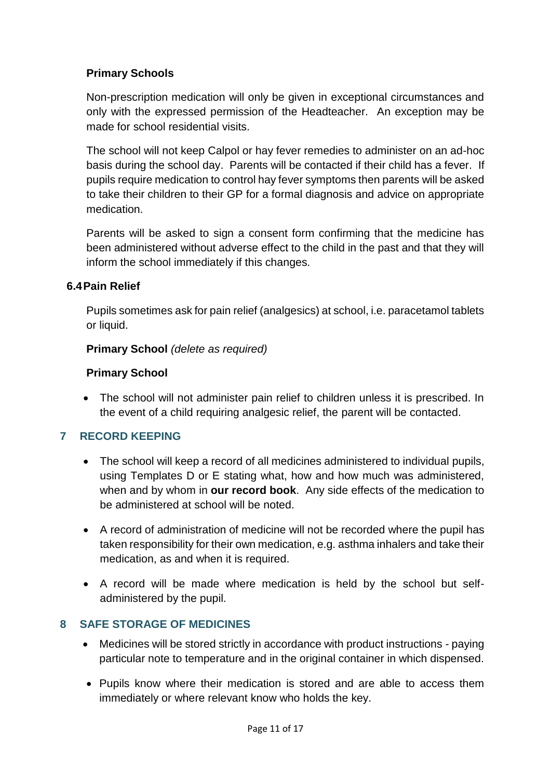#### **Primary Schools**

Non-prescription medication will only be given in exceptional circumstances and only with the expressed permission of the Headteacher. An exception may be made for school residential visits.

The school will not keep Calpol or hay fever remedies to administer on an ad-hoc basis during the school day. Parents will be contacted if their child has a fever. If pupils require medication to control hay fever symptoms then parents will be asked to take their children to their GP for a formal diagnosis and advice on appropriate medication.

Parents will be asked to sign a consent form confirming that the medicine has been administered without adverse effect to the child in the past and that they will inform the school immediately if this changes.

#### **6.4Pain Relief**

Pupils sometimes ask for pain relief (analgesics) at school, i.e. paracetamol tablets or liquid.

#### **Primary School** *(delete as required)*

#### **Primary School**

• The school will not administer pain relief to children unless it is prescribed. In the event of a child requiring analgesic relief, the parent will be contacted.

#### **7 RECORD KEEPING**

- The school will keep a record of all medicines administered to individual pupils, using Templates D or E stating what, how and how much was administered, when and by whom in **our record book**. Any side effects of the medication to be administered at school will be noted.
- A record of administration of medicine will not be recorded where the pupil has taken responsibility for their own medication, e.g. asthma inhalers and take their medication, as and when it is required.
- A record will be made where medication is held by the school but selfadministered by the pupil.

#### **8 SAFE STORAGE OF MEDICINES**

- Medicines will be stored strictly in accordance with product instructions paying particular note to temperature and in the original container in which dispensed.
- Pupils know where their medication is stored and are able to access them immediately or where relevant know who holds the key.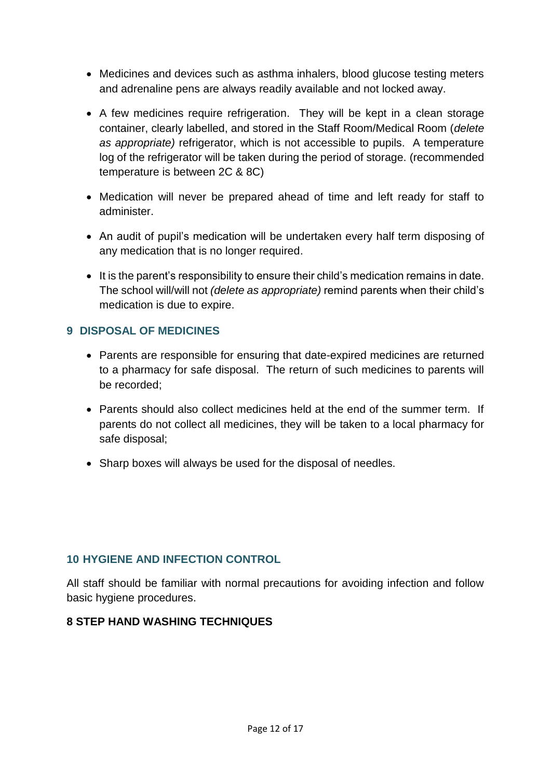- Medicines and devices such as asthma inhalers, blood glucose testing meters and adrenaline pens are always readily available and not locked away.
- A few medicines require refrigeration. They will be kept in a clean storage container, clearly labelled, and stored in the Staff Room/Medical Room (*delete as appropriate)* refrigerator, which is not accessible to pupils. A temperature log of the refrigerator will be taken during the period of storage. (recommended temperature is between 2C & 8C)
- Medication will never be prepared ahead of time and left ready for staff to administer.
- An audit of pupil's medication will be undertaken every half term disposing of any medication that is no longer required.
- It is the parent's responsibility to ensure their child's medication remains in date. The school will/will not *(delete as appropriate)* remind parents when their child's medication is due to expire.

#### **9 DISPOSAL OF MEDICINES**

- Parents are responsible for ensuring that date-expired medicines are returned to a pharmacy for safe disposal. The return of such medicines to parents will be recorded;
- Parents should also collect medicines held at the end of the summer term. If parents do not collect all medicines, they will be taken to a local pharmacy for safe disposal;
- Sharp boxes will always be used for the disposal of needles.

#### **10 HYGIENE AND INFECTION CONTROL**

All staff should be familiar with normal precautions for avoiding infection and follow basic hygiene procedures.

#### **8 STEP HAND WASHING TECHNIQUES**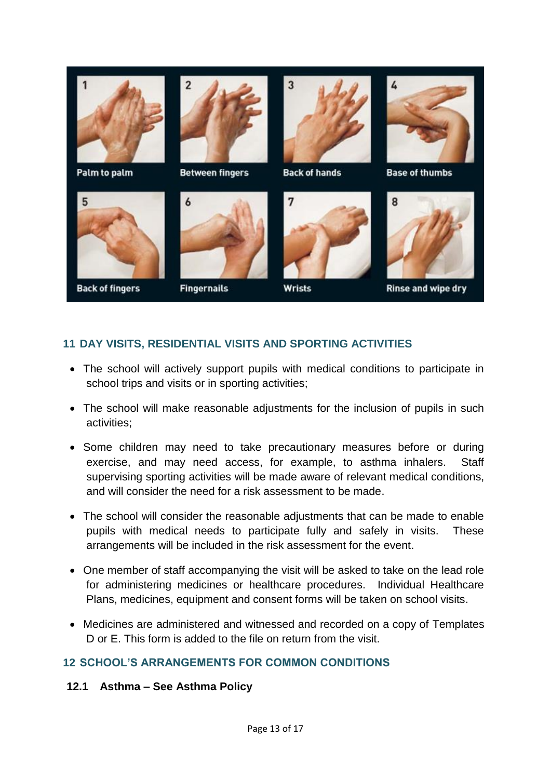

# **11 DAY VISITS, RESIDENTIAL VISITS AND SPORTING ACTIVITIES**

- The school will actively support pupils with medical conditions to participate in school trips and visits or in sporting activities;
- The school will make reasonable adjustments for the inclusion of pupils in such activities;
- Some children may need to take precautionary measures before or during exercise, and may need access, for example, to asthma inhalers. Staff supervising sporting activities will be made aware of relevant medical conditions, and will consider the need for a risk assessment to be made.
- The school will consider the reasonable adjustments that can be made to enable pupils with medical needs to participate fully and safely in visits. These arrangements will be included in the risk assessment for the event.
- One member of staff accompanying the visit will be asked to take on the lead role for administering medicines or healthcare procedures. Individual Healthcare Plans, medicines, equipment and consent forms will be taken on school visits.
- Medicines are administered and witnessed and recorded on a copy of Templates D or E. This form is added to the file on return from the visit.

#### **12 SCHOOL'S ARRANGEMENTS FOR COMMON CONDITIONS**

**12.1 Asthma – See Asthma Policy**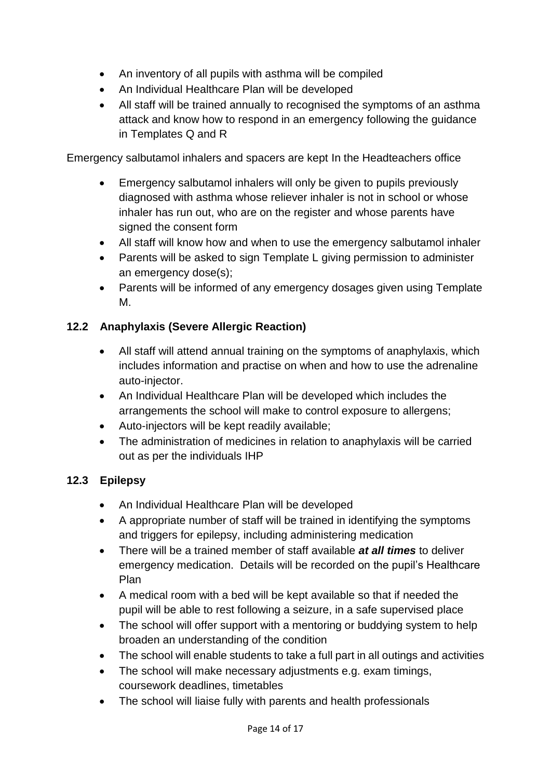- An inventory of all pupils with asthma will be compiled
- An Individual Healthcare Plan will be developed
- All staff will be trained annually to recognised the symptoms of an asthma attack and know how to respond in an emergency following the guidance in Templates Q and R

Emergency salbutamol inhalers and spacers are kept In the Headteachers office

- Emergency salbutamol inhalers will only be given to pupils previously diagnosed with asthma whose reliever inhaler is not in school or whose inhaler has run out, who are on the register and whose parents have signed the consent form
- All staff will know how and when to use the emergency salbutamol inhaler
- Parents will be asked to sign Template L giving permission to administer an emergency dose(s);
- Parents will be informed of any emergency dosages given using Template M.

# **12.2 Anaphylaxis (Severe Allergic Reaction)**

- All staff will attend annual training on the symptoms of anaphylaxis, which includes information and practise on when and how to use the adrenaline auto-injector.
- An Individual Healthcare Plan will be developed which includes the arrangements the school will make to control exposure to allergens;
- Auto-injectors will be kept readily available;
- The administration of medicines in relation to anaphylaxis will be carried out as per the individuals IHP

# **12.3 Epilepsy**

- An Individual Healthcare Plan will be developed
- A appropriate number of staff will be trained in identifying the symptoms and triggers for epilepsy, including administering medication
- There will be a trained member of staff available *at all times* to deliver emergency medication. Details will be recorded on the pupil's Healthcare Plan
- A medical room with a bed will be kept available so that if needed the pupil will be able to rest following a seizure, in a safe supervised place
- The school will offer support with a mentoring or buddying system to help broaden an understanding of the condition
- The school will enable students to take a full part in all outings and activities
- The school will make necessary adjustments e.g. exam timings, coursework deadlines, timetables
- The school will liaise fully with parents and health professionals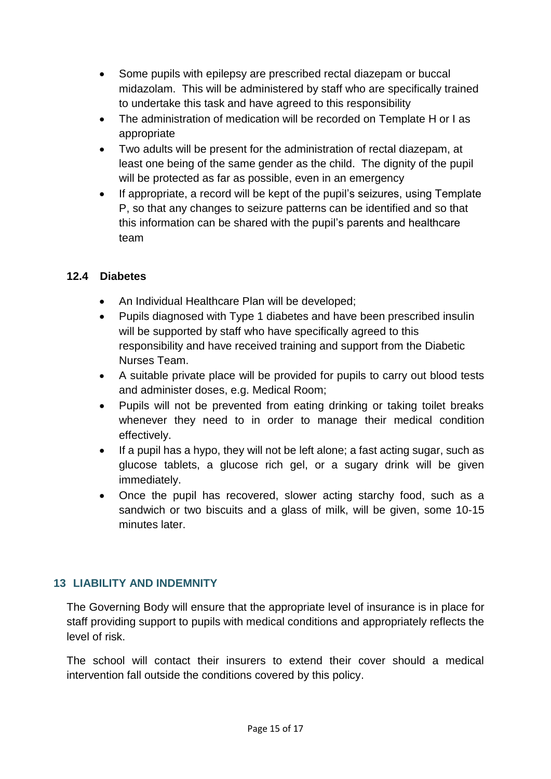- Some pupils with epilepsy are prescribed rectal diazepam or buccal midazolam. This will be administered by staff who are specifically trained to undertake this task and have agreed to this responsibility
- The administration of medication will be recorded on Template H or I as appropriate
- Two adults will be present for the administration of rectal diazepam, at least one being of the same gender as the child. The dignity of the pupil will be protected as far as possible, even in an emergency
- If appropriate, a record will be kept of the pupil's seizures, using Template P, so that any changes to seizure patterns can be identified and so that this information can be shared with the pupil's parents and healthcare team

#### **12.4 Diabetes**

- An Individual Healthcare Plan will be developed;
- Pupils diagnosed with Type 1 diabetes and have been prescribed insulin will be supported by staff who have specifically agreed to this responsibility and have received training and support from the Diabetic Nurses Team.
- A suitable private place will be provided for pupils to carry out blood tests and administer doses, e.g. Medical Room;
- Pupils will not be prevented from eating drinking or taking toilet breaks whenever they need to in order to manage their medical condition effectively.
- If a pupil has a hypo, they will not be left alone; a fast acting sugar, such as glucose tablets, a glucose rich gel, or a sugary drink will be given immediately.
- Once the pupil has recovered, slower acting starchy food, such as a sandwich or two biscuits and a glass of milk, will be given, some 10-15 minutes later.

#### **13 LIABILITY AND INDEMNITY**

The Governing Body will ensure that the appropriate level of insurance is in place for staff providing support to pupils with medical conditions and appropriately reflects the level of risk.

The school will contact their insurers to extend their cover should a medical intervention fall outside the conditions covered by this policy.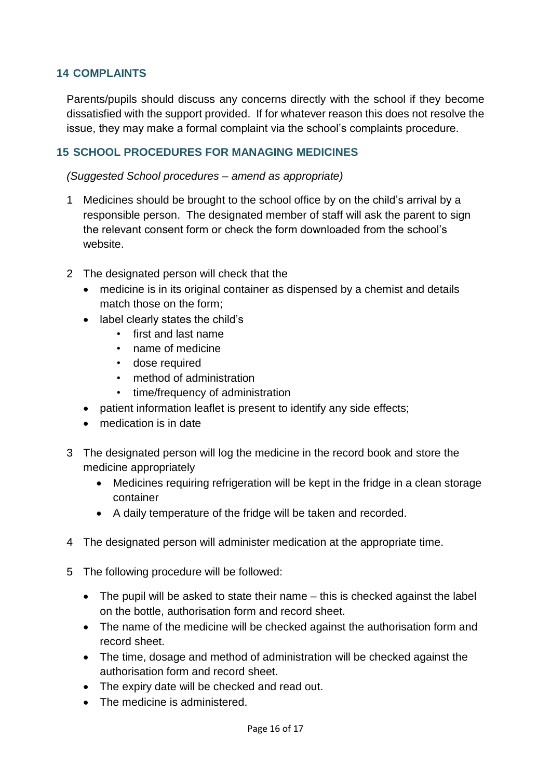#### **14 COMPLAINTS**

Parents/pupils should discuss any concerns directly with the school if they become dissatisfied with the support provided. If for whatever reason this does not resolve the issue, they may make a formal complaint via the school's complaints procedure.

#### **15 SCHOOL PROCEDURES FOR MANAGING MEDICINES**

*(Suggested School procedures – amend as appropriate)*

- 1 Medicines should be brought to the school office by on the child's arrival by a responsible person. The designated member of staff will ask the parent to sign the relevant consent form or check the form downloaded from the school's website.
- 2 The designated person will check that the
	- medicine is in its original container as dispensed by a chemist and details match those on the form;
	- label clearly states the child's
		- first and last name
		- name of medicine
		- dose required
		- method of administration
		- time/frequency of administration
	- patient information leaflet is present to identify any side effects;
	- medication is in date
- 3 The designated person will log the medicine in the record book and store the medicine appropriately
	- Medicines requiring refrigeration will be kept in the fridge in a clean storage container
	- A daily temperature of the fridge will be taken and recorded.
- 4 The designated person will administer medication at the appropriate time.
- 5 The following procedure will be followed:
	- The pupil will be asked to state their name this is checked against the label on the bottle, authorisation form and record sheet.
	- The name of the medicine will be checked against the authorisation form and record sheet.
	- The time, dosage and method of administration will be checked against the authorisation form and record sheet.
	- The expiry date will be checked and read out.
	- The medicine is administered.